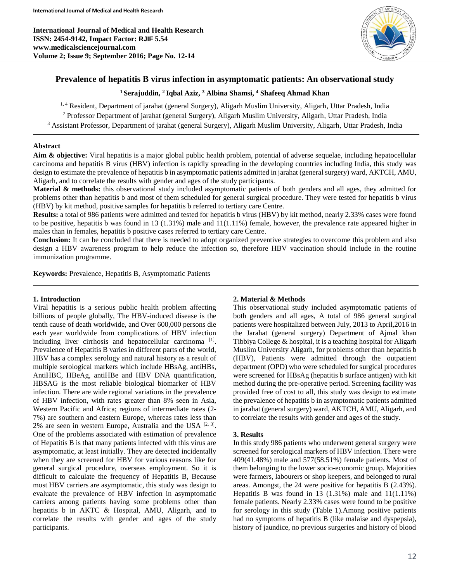**International Journal of Medical and Health Research ISSN: 2454-9142, Impact Factor: RJIF 5.54 www.medicalsciencejournal.com Volume 2; Issue 9; September 2016; Page No. 12-14**



# **Prevalence of hepatitis B virus infection in asymptomatic patients: An observational study**

**<sup>1</sup>Serajuddin, <sup>2</sup>Iqbal Aziz, <sup>3</sup> Albina Shamsi, <sup>4</sup> Shafeeq Ahmad Khan**

<sup>1, 4</sup> Resident, Department of jarahat (general Surgery), Aligarh Muslim University, Aligarh, Uttar Pradesh, India <sup>2</sup> Professor Department of jarahat (general Surgery), Aligarh Muslim University, Aligarh, Uttar Pradesh, India <sup>3</sup> Assistant Professor, Department of jarahat (general Surgery), Aligarh Muslim University, Aligarh, Uttar Pradesh, India

#### **Abstract**

**Aim & objective:** Viral hepatitis is a major global public health problem, potential of adverse sequelae, including hepatocellular carcinoma and hepatitis B virus (HBV) infection is rapidly spreading in the developing countries including India, this study was design to estimate the prevalence of hepatitis b in asymptomatic patients admitted in jarahat (general surgery) ward, AKTCH, AMU, Aligarh, and to correlate the results with gender and ages of the study participants.

**Material & methods:** this observational study included asymptomatic patients of both genders and all ages, they admitted for problems other than hepatitis b and most of them scheduled for general surgical procedure. They were tested for hepatitis b virus (HBV) by kit method, positive samples for hepatitis b referred to tertiary care Centre.

**Results:** a total of 986 patients were admitted and tested for hepatitis b virus (HBV) by kit method, nearly 2.33% cases were found to be positive, hepatitis b was found in 13 (1.31%) male and 11(1.11%) female, however, the prevalence rate appeared higher in males than in females, hepatitis b positive cases referred to tertiary care Centre.

**Conclusion:** It can be concluded that there is needed to adopt organized preventive strategies to overcome this problem and also design a HBV awareness program to help reduce the infection so, therefore HBV vaccination should include in the routine immunization programme.

**Keywords:** Prevalence, Hepatitis B, Asymptomatic Patients

#### **1. Introduction**

Viral hepatitis is a serious public health problem affecting billions of people globally, The HBV-induced disease is the tenth cause of death worldwide, and Over 600,000 persons die each year worldwide from complications of HBV infection including liver cirrhosis and hepatocellular carcinoma<sup>[1]</sup>. Prevalence of Hepatitis B varies in different parts of the world, HBV has a complex serology and natural history as a result of multiple serological markers which include HBsAg, antiHBs, AntiHBC, HBeAg, antiHBe and HBV DNA quantification, HBSAG is the most reliable biological biomarker of HBV infection. There are wide regional variations in the prevalence of HBV infection, with rates greater than 8% seen in Asia, Western Pacific and Africa; regions of intermediate rates (2- 7%) are southern and eastern Europe, whereas rates less than 2% are seen in western Europe, Australia and the USA  $[2, 3]$ . One of the problems associated with estimation of prevalence of Hepatitis B is that many patients infected with this virus are asymptomatic, at least initially. They are detected incidentally when they are screened for HBV for various reasons like for general surgical procedure, overseas employment. So it is difficult to calculate the frequency of Hepatitis B, Because most HBV carriers are asymptomatic, this study was design to evaluate the prevalence of HBV infection in asymptomatic carriers among patients having some problems other than hepatitis b in AKTC & Hospital, AMU, Aligarh, and to correlate the results with gender and ages of the study participants.

## **2. Material & Methods**

This observational study included asymptomatic patients of both genders and all ages, A total of 986 general surgical patients were hospitalized between July, 2013 to April,2016 in the Jarahat (general surgery) Department of Ajmal khan Tibbiya College & hospital, it is a teaching hospital for Aligarh Muslim University Aligarh, for problems other than hepatitis b (HBV), Patients were admitted through the outpatient department (OPD) who were scheduled for surgical procedures were screened for HBsAg (hepatitis b surface antigen) with kit method during the pre-operative period. Screening facility was provided free of cost to all, this study was design to estimate the prevalence of hepatitis b in asymptomatic patients admitted in jarahat (general surgery) ward, AKTCH, AMU, Aligarh, and to correlate the results with gender and ages of the study.

## **3. Results**

In this study 986 patients who underwent general surgery were screened for serological markers of HBV infection. There were 409(41.48%) male and 577(58.51%) female patients. Most of them belonging to the lower socio-economic group. Majorities were farmers, labourers or shop keepers, and belonged to rural areas. Amongst, the 24 were positive for hepatitis B (2.43%). Hepatitis B was found in  $13$  (1.31%) male and  $11(1.11\%)$ female patients. Nearly 2.33% cases were found to be positive for serology in this study (Table 1).Among positive patients had no symptoms of hepatitis B (like malaise and dyspepsia), history of jaundice, no previous surgeries and history of blood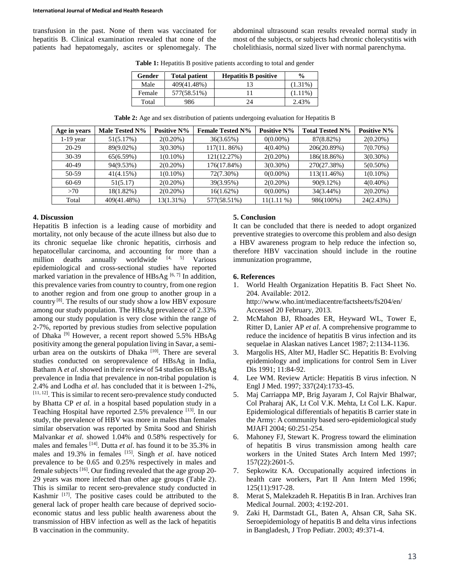#### **International Journal of Medical and Health Research**

transfusion in the past. None of them was vaccinated for hepatitis B. Clinical examination revealed that none of the patients had hepatomegaly, ascites or splenomegaly. The abdominal ultrasound scan results revealed normal study in most of the subjects, or subjects had chronic cholecystitis with cholelithiasis, normal sized liver with normal parenchyma.

**Table 1:** Hepatitis B positive patients according to total and gender

| Gender | <b>Total patient</b> | <b>Hepatitis B positive</b> | $\frac{0}{0}$ |
|--------|----------------------|-----------------------------|---------------|
| Male   | 409(41.48%)          |                             | $(1.31\%)$    |
| Female | 577(58.51%)          |                             | $(1.11\%)$    |
| Total  | 986                  | 24                          | 2.43%         |

**Table 2:** Age and sex distribution of patients undergoing evaluation for Hepatitis B

| Age in years | Male Tested N% | <b>Positive N%</b> | <b>Female Tested N%</b> | <b>Positive N%</b> | <b>Total Tested N%</b> | <b>Positive N%</b> |
|--------------|----------------|--------------------|-------------------------|--------------------|------------------------|--------------------|
| $1-19$ year  | 51(5.17%)      | $2(0.20\%)$        | 36(3.65%)               | $0(0.00\%)$        | 87(8.82%)              | $2(0.20\%)$        |
| $20-29$      | 89(9.02%)      | $3(0.30\%)$        | 117(11.86%)             | $4(0.40\%)$        | 206(20.89%)            | $7(0.70\%)$        |
| $30-39$      | 65(6.59%)      | $1(0.10\%)$        | 121(12.27%)             | $2(0.20\%)$        | 186(18.86%)            | $3(0.30\%)$        |
| $40-49$      | 94(9.53%)      | $2(0.20\%)$        | 176(17.84%)             | $3(0.30\%)$        | 270(27.38%)            | $5(0.50\%)$        |
| 50-59        | 41(4.15%)      | $1(0.10\%)$        | 72(7.30%)               | $0(0.00\%)$        | 113(11.46%)            | $1(0.10\%)$        |
| 60-69        | 51(5.17)       | $2(0.20\%)$        | 39(3.95%)               | $2(0.20\%)$        | $90(9.12\%)$           | $4(0.40\%)$        |
| >70          | 18(1.82%)      | $2(0.20\%)$        | 16(1.62%)               | $0(0.00\%)$        | 34(3.44%)              | $2(0.20\%)$        |
| Total        | 409(41.48%)    | $13(1.31\%)$       | 577(58.51%)             | $11(1.11\%)$       | 986(100%)              | 24(2.43%)          |

## **4. Discussion**

Hepatitis B infection is a leading cause of morbidity and mortality, not only because of the acute illness but also due to its chronic sequelae like chronic hepatitis, cirrhosis and hepatocellular carcinoma, and accounting for more than a million deaths annually worldwide  $[4, 5]$  Various epidemiological and cross-sectional studies have reported marked variation in the prevalence of  $HBsAg$  [6, 7] In addition, this prevalence varies from country to country, from one region to another region and from one group to another group in a country [8]. The results of our study show a low HBV exposure among our study population. The HBsAg prevalence of 2.33% among our study population is very close within the range of 2-7%, reported by previous studies from selective population of Dhaka<sup>[9]</sup> However, a recent report showed 5.5% HBsAg positivity among the general population living in Savar, a semiurban area on the outskirts of Dhaka<sup>[10]</sup>. There are several studies conducted on seroprevalence of HBsAg in India, Batham A *et al*. showed in their review of 54 studies on HBsAg prevalence in India that prevalence in non-tribal population is 2.4% and Lodha *et al*. has concluded that it is between 1-2%, [11, 12]. This is similar to recent sero-prevalence study conducted by Bhatta CP *et al.* in a hospital based population study in a Teaching Hospital have reported 2.5% prevalence [13]. In our study, the prevalence of HBV was more in males than females similar observation was reported by Smita Sood and Shirish Malvankar *et al*. showed 1.04% and 0.58% respectively for males and females [14]. Dutta *et al*. has found it to be 35.3% in males and 19.3% in females <sup>[15]</sup>. Singh *et al.* have noticed prevalence to be 0.65 and 0.25% respectively in males and female subjects [16]. Our finding revealed that the age group 20- 29 years was more infected than other age groups (Table 2). This is similar to recent sero-prevalence study conducted in Kashmir  $[17]$ . The positive cases could be attributed to the general lack of proper health care because of deprived socioeconomic status and less public health awareness about the transmission of HBV infection as well as the lack of hepatitis B vaccination in the community.

## **5. Conclusion**

It can be concluded that there is needed to adopt organized preventive strategies to overcome this problem and also design a HBV awareness program to help reduce the infection so, therefore HBV vaccination should include in the routine immunization programme,

#### **6. References**

- 1. World Health Organization Hepatitis B. Fact Sheet No. 204. Available: 2012. http://www.who.int/mediacentre/factsheets/fs204/en/ Accessed 20 February, 2013.
- 2. McMahon BJ, Rhoades ER, Heyward WL, Tower E, Ritter D, Lanier AP *et al*. A comprehensive programme to reduce the incidence of hepatitis B virus infection and its sequelae in Alaskan natives Lancet 1987; 2:1134-1136.
- 3. Margolis HS, Alter MJ, Hadler SC. Hepatitis B: Evolving epidemiology and implications for control Sem in Liver Dis 1991; 11:84-92.
- 4. Lee WM. Review Article: Hepatitis B virus infection. N Engl J Med. 1997; 337(24):1733-45.
- 5. Maj Carriappa MP, Brig Jayaram J, Col Rajvir Bhalwar, Col Praharaj AK, Lt Col V.K. Mehta, Lt Col L.K. Kapur. Epidemiological differentials of hepatitis B carrier state in the Army: A community based sero-epidemiological study MJAFI 2004; 60:251-254.
- 6. Mahoney FJ, Stewart K. Progress toward the elimination of hepatitis B virus transmission among health care workers in the United States Arch Intern Med 1997; 157(22):2601-5.
- 7. Sepkowitz KA. Occupationally acquired infections in health care workers, Part II Ann Intern Med 1996; 125(11):917-28.
- 8. Merat S, Malekzadeh R. Hepatitis B in Iran. Archives Iran Medical Journal. 2003; 4:192-201.
- 9. Zaki H, Darmstadt GL, Baten A, Ahsan CR, Saha SK. Seroepidemiology of hepatitis B and delta virus infections in Bangladesh, J Trop Pediatr. 2003; 49:371-4.